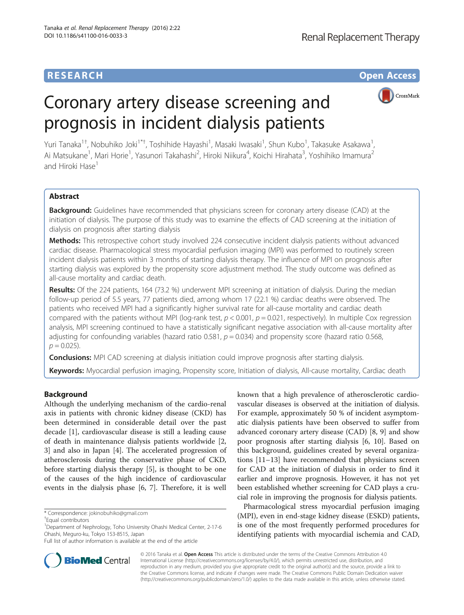# **RESEARCH CHE Open Access**

Renal Replacement Therapy

CrossMark

# Coronary artery disease screening and prognosis in incident dialysis patients

Yuri Tanaka<sup>1†</sup>, Nobuhiko Joki<sup>1\*†</sup>, Toshihide Hayashi<sup>1</sup>, Masaki Iwasaki<sup>1</sup>, Shun Kubo<sup>1</sup>, Takasuke Asakawa<sup>1</sup> , Ai Matsukane<sup>1</sup>, Mari Horie<sup>1</sup>, Yasunori Takahashi<sup>2</sup>, Hiroki Niikura<sup>4</sup>, Koichi Hirahata<sup>3</sup>, Yoshihiko Imamura<sup>2</sup> and Hiroki Hase<sup>1</sup>

# Abstract

**Background:** Guidelines have recommended that physicians screen for coronary artery disease (CAD) at the initiation of dialysis. The purpose of this study was to examine the effects of CAD screening at the initiation of dialysis on prognosis after starting dialysis

Methods: This retrospective cohort study involved 224 consecutive incident dialysis patients without advanced cardiac disease. Pharmacological stress myocardial perfusion imaging (MPI) was performed to routinely screen incident dialysis patients within 3 months of starting dialysis therapy. The influence of MPI on prognosis after starting dialysis was explored by the propensity score adjustment method. The study outcome was defined as all-cause mortality and cardiac death.

Results: Of the 224 patients, 164 (73.2 %) underwent MPI screening at initiation of dialysis. During the median follow-up period of 5.5 years, 77 patients died, among whom 17 (22.1 %) cardiac deaths were observed. The patients who received MPI had a significantly higher survival rate for all-cause mortality and cardiac death compared with the patients without MPI (log-rank test,  $p < 0.001$ ,  $p = 0.021$ , respectively). In multiple Cox regression analysis, MPI screening continued to have a statistically significant negative association with all-cause mortality after adjusting for confounding variables (hazard ratio 0.581,  $p = 0.034$ ) and propensity score (hazard ratio 0.568,  $p = 0.025$ ).

**Conclusions:** MPI CAD screening at dialysis initiation could improve prognosis after starting dialysis.

Keywords: Myocardial perfusion imaging, Propensity score, Initiation of dialysis, All-cause mortality, Cardiac death

# Background

Although the underlying mechanism of the cardio-renal axis in patients with chronic kidney disease (CKD) has been determined in considerable detail over the past decade [[1](#page-7-0)], cardiovascular disease is still a leading cause of death in maintenance dialysis patients worldwide [\[2](#page-7-0), [3\]](#page-7-0) and also in Japan [\[4](#page-7-0)]. The accelerated progression of atherosclerosis during the conservative phase of CKD, before starting dialysis therapy [[5\]](#page-8-0), is thought to be one of the causes of the high incidence of cardiovascular events in the dialysis phase [[6, 7](#page-8-0)]. Therefore, it is well

\* Correspondence: [jokinobuhiko@gmail.com](mailto:jokinobuhiko@gmail.com) †

known that a high prevalence of atherosclerotic cardiovascular diseases is observed at the initiation of dialysis. For example, approximately 50 % of incident asymptomatic dialysis patients have been observed to suffer from advanced coronary artery disease (CAD) [[8, 9\]](#page-8-0) and show poor prognosis after starting dialysis [\[6](#page-8-0), [10\]](#page-8-0). Based on this background, guidelines created by several organizations [\[11](#page-8-0)–[13\]](#page-8-0) have recommended that physicians screen for CAD at the initiation of dialysis in order to find it earlier and improve prognosis. However, it has not yet been established whether screening for CAD plays a crucial role in improving the prognosis for dialysis patients.

Pharmacological stress myocardial perfusion imaging (MPI), even in end-stage kidney disease (ESKD) patients, is one of the most frequently performed procedures for identifying patients with myocardial ischemia and CAD,



© 2016 Tanaka et al. Open Access This article is distributed under the terms of the Creative Commons Attribution 4.0 International License [\(http://creativecommons.org/licenses/by/4.0/](http://creativecommons.org/licenses/by/4.0/)), which permits unrestricted use, distribution, and reproduction in any medium, provided you give appropriate credit to the original author(s) and the source, provide a link to the Creative Commons license, and indicate if changes were made. The Creative Commons Public Domain Dedication waiver [\(http://creativecommons.org/publicdomain/zero/1.0/](http://creativecommons.org/publicdomain/zero/1.0/)) applies to the data made available in this article, unless otherwise stated.

Equal contributors

<sup>&</sup>lt;sup>1</sup>Department of Nephrology, Toho University Ohashi Medical Center, 2-17-6 Ohashi, Meguro-ku, Tokyo 153-8515, Japan

Full list of author information is available at the end of the article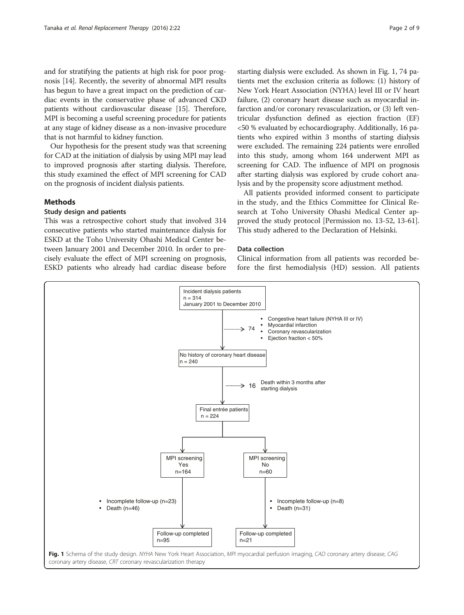<span id="page-1-0"></span>and for stratifying the patients at high risk for poor prognosis [\[14\]](#page-8-0). Recently, the severity of abnormal MPI results has begun to have a great impact on the prediction of cardiac events in the conservative phase of advanced CKD patients without cardiovascular disease [[15](#page-8-0)]. Therefore, MPI is becoming a useful screening procedure for patients at any stage of kidney disease as a non-invasive procedure that is not harmful to kidney function.

Our hypothesis for the present study was that screening for CAD at the initiation of dialysis by using MPI may lead to improved prognosis after starting dialysis. Therefore, this study examined the effect of MPI screening for CAD on the prognosis of incident dialysis patients.

## Methods

# Study design and patients

This was a retrospective cohort study that involved 314 consecutive patients who started maintenance dialysis for ESKD at the Toho University Ohashi Medical Center between January 2001 and December 2010. In order to precisely evaluate the effect of MPI screening on prognosis, ESKD patients who already had cardiac disease before starting dialysis were excluded. As shown in Fig. 1, 74 patients met the exclusion criteria as follows: (1) history of New York Heart Association (NYHA) level III or IV heart failure, (2) coronary heart disease such as myocardial infarction and/or coronary revascularization, or (3) left ventricular dysfunction defined as ejection fraction (EF) <50 % evaluated by echocardiography. Additionally, 16 patients who expired within 3 months of starting dialysis were excluded. The remaining 224 patients were enrolled into this study, among whom 164 underwent MPI as screening for CAD. The influence of MPI on prognosis after starting dialysis was explored by crude cohort analysis and by the propensity score adjustment method.

All patients provided informed consent to participate in the study, and the Ethics Committee for Clinical Research at Toho University Ohashi Medical Center approved the study protocol [Permission no. 13-52, 13-61]. This study adhered to the Declaration of Helsinki.

#### Data collection

Clinical information from all patients was recorded before the first hemodialysis (HD) session. All patients

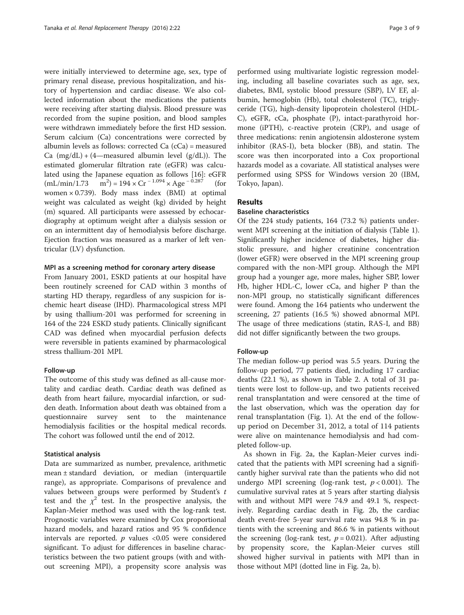were initially interviewed to determine age, sex, type of primary renal disease, previous hospitalization, and history of hypertension and cardiac disease. We also collected information about the medications the patients were receiving after starting dialysis. Blood pressure was recorded from the supine position, and blood samples were withdrawn immediately before the first HD session. Serum calcium (Ca) concentrations were corrected by albumin levels as follows: corrected Ca (cCa) = measured Ca  $(mg/dL) + (4$ —measured albumin level  $(g/dL)$ ). The estimated glomerular filtration rate (eGFR) was calculated using the Japanese equation as follows [[16\]](#page-8-0): eGFR  $(mL/min/1.73)$  $(m^2) = 194 \times Cr^{-1.094} \times Age^{-0.287}$  (for women × 0.739). Body mass index (BMI) at optimal weight was calculated as weight (kg) divided by height (m) squared. All participants were assessed by echocardiography at optimum weight after a dialysis session or on an intermittent day of hemodialysis before discharge. Ejection fraction was measured as a marker of left ventricular (LV) dysfunction.

#### MPI as a screening method for coronary artery disease

From January 2001, ESKD patients at our hospital have been routinely screened for CAD within 3 months of starting HD therapy, regardless of any suspicion for ischemic heart disease (IHD). Pharmacological stress MPI by using thallium-201 was performed for screening in 164 of the 224 ESKD study patients. Clinically significant CAD was defined when myocardial perfusion defects were reversible in patients examined by pharmacological stress thallium-201 MPI.

#### Follow-up

The outcome of this study was defined as all-cause mortality and cardiac death. Cardiac death was defined as death from heart failure, myocardial infarction, or sudden death. Information about death was obtained from a questionnaire survey sent to the maintenance hemodialysis facilities or the hospital medical records. The cohort was followed until the end of 2012.

## Statistical analysis

Data are summarized as number, prevalence, arithmetic mean ± standard deviation, or median (interquartile range), as appropriate. Comparisons of prevalence and values between groups were performed by Student's  $t$ test and the  $\chi^2$  test. In the prospective analysis, the Kaplan-Meier method was used with the log-rank test. Prognostic variables were examined by Cox proportional hazard models, and hazard ratios and 95 % confidence intervals are reported.  $p$  values <0.05 were considered significant. To adjust for differences in baseline characteristics between the two patient groups (with and without screening MPI), a propensity score analysis was

performed using multivariate logistic regression modeling, including all baseline covariates such as age, sex, diabetes, BMI, systolic blood pressure (SBP), LV EF, albumin, hemoglobin (Hb), total cholesterol (TC), triglyceride (TG), high-density lipoprotein cholesterol (HDL-C), eGFR, cCa, phosphate (P), intact-parathyroid hormone (iPTH), c-reactive protein (CRP), and usage of three medications: renin angiotensin aldosterone system inhibitor (RAS-I), beta blocker (BB), and statin. The score was then incorporated into a Cox proportional hazards model as a covariate. All statistical analyses were performed using SPSS for Windows version 20 (IBM, Tokyo, Japan).

# Results

# Baseline characteristics

Of the 224 study patients, 164 (73.2 %) patients underwent MPI screening at the initiation of dialysis (Table [1](#page-3-0)). Significantly higher incidence of diabetes, higher diastolic pressure, and higher creatinine concentration (lower eGFR) were observed in the MPI screening group compared with the non-MPI group. Although the MPI group had a younger age, more males, higher SBP, lower Hb, higher HDL-C, lower cCa, and higher P than the non-MPI group, no statistically significant differences were found. Among the 164 patients who underwent the screening, 27 patients (16.5 %) showed abnormal MPI. The usage of three medications (statin, RAS-I, and BB) did not differ significantly between the two groups.

#### Follow-up

The median follow-up period was 5.5 years. During the follow-up period, 77 patients died, including 17 cardiac deaths (22.1 %), as shown in Table [2](#page-3-0). A total of 31 patients were lost to follow-up, and two patients received renal transplantation and were censored at the time of the last observation, which was the operation day for renal transplantation (Fig. [1\)](#page-1-0). At the end of the followup period on December 31, 2012, a total of 114 patients were alive on maintenance hemodialysis and had completed follow-up.

As shown in Fig. [2a,](#page-4-0) the Kaplan-Meier curves indicated that the patients with MPI screening had a significantly higher survival rate than the patients who did not undergo MPI screening (log-rank test,  $p < 0.001$ ). The cumulative survival rates at 5 years after starting dialysis with and without MPI were 74.9 and 49.1 %, respectively. Regarding cardiac death in Fig. [2b](#page-4-0), the cardiac death event-free 5-year survival rate was 94.8 % in patients with the screening and 86.6 % in patients without the screening (log-rank test,  $p = 0.021$ ). After adjusting by propensity score, the Kaplan-Meier curves still showed higher survival in patients with MPI than in those without MPI (dotted line in Fig. [2a, b](#page-4-0)).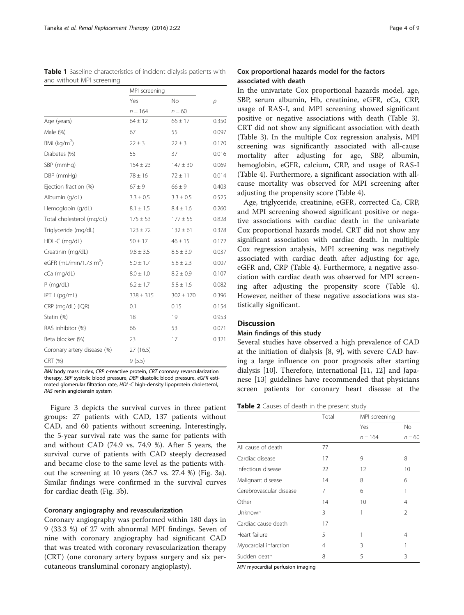BMI body mass index, CRP c-reactive protein, CRT coronary revascularization therapy, SBP systolic blood pressure, DBP diastolic blood pressure, eGFR estimated glomerular filtration rate, HDL-C high-density lipoprotein cholesterol, RAS renin angiotensin system

Figure [3](#page-5-0) depicts the survival curves in three patient groups: 27 patients with CAD, 137 patients without CAD, and 60 patients without screening. Interestingly, the 5-year survival rate was the same for patients with and without CAD (74.9 vs. 74.9 %). After 5 years, the survival curve of patients with CAD steeply decreased and became close to the same level as the patients without the screening at 10 years (26.7 vs. 27.4 %) (Fig. [3a](#page-5-0)). Similar findings were confirmed in the survival curves for cardiac death (Fig. [3b](#page-5-0)).

### Coronary angiography and revascularization

Coronary angiography was performed within 180 days in 9 (33.3 %) of 27 with abnormal MPI findings. Seven of nine with coronary angiography had significant CAD that was treated with coronary revascularization therapy (CRT) (one coronary artery bypass surgery and six percutaneous transluminal coronary angioplasty).

and without MPI screening

<span id="page-3-0"></span>Table 1 Baseline characteristics of incident dialysis patients with

|                                    | MPI screening |               |                |  |
|------------------------------------|---------------|---------------|----------------|--|
|                                    | Yes           | <b>No</b>     | $\overline{p}$ |  |
|                                    | $n = 164$     | $n = 60$      |                |  |
| Age (years)                        | $64 \pm 12$   | $66 \pm 17$   | 0.350          |  |
| Male (%)                           | 67            | 55            | 0.097          |  |
| BMI (kg/m <sup>2</sup> )           | $22 \pm 3$    | $22 \pm 3$    | 0.170          |  |
| Diabetes (%)                       | 55            | 37            | 0.016          |  |
| SBP (mmHg)                         | $154 \pm 23$  | $147 \pm 30$  | 0.069          |  |
| DBP (mmHg)                         | $78 \pm 16$   | $72 \pm 11$   | 0.014          |  |
| Ejection fraction (%)              | $67 + 9$      | $66 \pm 9$    | 0.403          |  |
| Albumin (g/dL)                     | $3.3 \pm 0.5$ | $3.3 \pm 0.5$ | 0.525          |  |
| Hemoglobin (g/dL)                  | $8.1 \pm 1.5$ | $8.4 \pm 1.6$ | 0.260          |  |
| Total cholesterol (mg/dL)          | $175 \pm 53$  | $177 \pm 55$  | 0.828          |  |
| Triglyceride (mg/dL)               | $123 \pm 72$  | $132 \pm 61$  | 0.378          |  |
| HDL-C (mg/dL)                      | $50 \pm 17$   | $46 \pm 15$   | 0.172          |  |
| Creatinin (mg/dL)                  | $9.8 \pm 3.5$ | $8.6 \pm 3.9$ | 0.037          |  |
| eGFR (mL/min/1.73 m <sup>2</sup> ) | $5.0 \pm 1.7$ | $5.8 \pm 2.3$ | 0.007          |  |
| cCa (mg/dL)                        | $8.0 \pm 1.0$ | $8.2 \pm 0.9$ | 0.107          |  |
| $P$ (mg/dL)                        | $6.2 \pm 1.7$ | $5.8 \pm 1.6$ | 0.082          |  |
| iPTH (pg/mL)                       | $338 \pm 315$ | $302 \pm 170$ | 0.396          |  |
| CRP (mg/dL) (IQR)                  | 0.1           | 0.15          | 0.154          |  |
| Statin (%)                         | 18            | 19            | 0.953          |  |
| RAS inhibitor (%)                  | 66            | 53            | 0.071          |  |
| Beta blocker (%)                   | 23            | 17            | 0.321          |  |
| Coronary artery disease (%)        | 27 (16.5)     |               |                |  |
| CRT (%)                            | 9(5.5)        |               |                |  |

# Cox proportional hazards model for the factors associated with death

In the univariate Cox proportional hazards model, age, SBP, serum albumin, Hb, creatinine, eGFR, cCa, CRP, age of RAS-I, and MPI screening showed significant positive or negative associations with death (Table [3](#page-6-0)). RT did not show any significant association with death (Table [3](#page-6-0)). In the multiple Cox regression analysis, MPI reening was significantly associated with all-cause ortality after adjusting for age, SBP, albumin, emoglobin, eGFR, calcium, CRP, and usage of RAS-I (Table [4](#page-6-0)). Furthermore, a significant association with alluse mortality was observed for MPI screening after ljusting the propensity score (Table [4\)](#page-6-0).

Age, triglyceride, creatinine, eGFR, corrected Ca, CRP, ad MPI screening showed significant positive or negave associations with cardiac death in the univariate ox proportional hazards model. CRT did not show any significant association with cardiac death. In multiple ox regression analysis, MPI screening was negatively sociated with cardiac death after adjusting for age, GFR and, CRP (Table [4\)](#page-6-0). Furthermore, a negative assoation with cardiac death was observed for MPI screen-g after adjusting the propensity score (Table [4](#page-6-0)). owever, neither of these negative associations was stastically significant.

# iscussion

# ain findings of this study

everal studies have observed a high prevalence of CAD the initiation of dialysis  $[8, 9]$ , with severe CAD havg a large influence on poor prognosis after starting dialysis [\[10\]](#page-8-0). Therefore, international [\[11, 12\]](#page-8-0) and Japanese [[13\]](#page-8-0) guidelines have recommended that physicians screen patients for coronary heart disease at the

Table 2 Causes of death in the present study

|                         | Total          | MPI screening |          |
|-------------------------|----------------|---------------|----------|
|                         |                | Yes           | No.      |
|                         |                | $n = 164$     | $n = 60$ |
| All cause of death      | 77             |               |          |
| Cardiac disease         | 17             | 9             | 8        |
| Infectious disease      | 22             | 12            | 10       |
| Malignant disease       | 14             | 8             | 6        |
| Cerebrovascular disease | 7              | 6             | 1        |
| Other                   | 14             | 10            | 4        |
| Unknown                 | 3              | 1             | 2        |
| Cardiac cause death     | 17             |               |          |
| Heart failure           | 5              | 1             | 4        |
| Myocardial infarction   | $\overline{4}$ | 3             | 1        |
| Sudden death            | 8              | 5             | 3        |

MPI myocardial perfusion imaging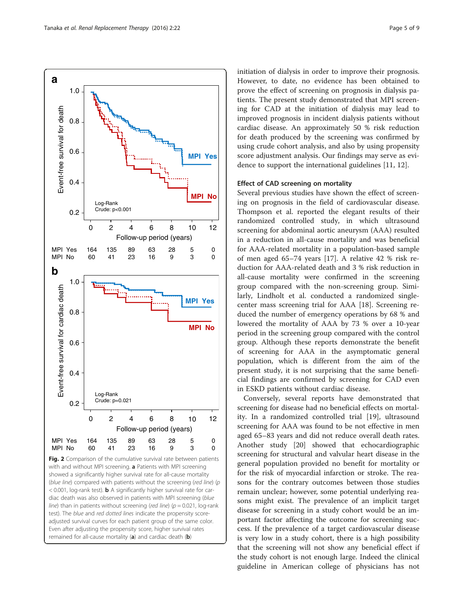<span id="page-4-0"></span>

test). The blue and red dotted lines indicate the propensity scoreadjusted survival curves for each patient group of the same color. Even after adjusting the propensity score, higher survival rates remained for all-cause mortality  $(a)$  and cardiac death  $(b)$ 

initiation of dialysis in order to improve their prognosis. However, to date, no evidence has been obtained to prove the effect of screening on prognosis in dialysis patients. The present study demonstrated that MPI screening for CAD at the initiation of dialysis may lead to improved prognosis in incident dialysis patients without cardiac disease. An approximately 50 % risk reduction for death produced by the screening was confirmed by using crude cohort analysis, and also by using propensity score adjustment analysis. Our findings may serve as evidence to support the international guidelines [\[11](#page-8-0), [12\]](#page-8-0).

#### Effect of CAD screening on mortality

Several previous studies have shown the effect of screening on prognosis in the field of cardiovascular disease. Thompson et al. reported the elegant results of their randomized controlled study, in which ultrasound screening for abdominal aortic aneurysm (AAA) resulted in a reduction in all-cause mortality and was beneficial for AAA-related mortality in a population-based sample of men aged 65–74 years [\[17](#page-8-0)]. A relative 42 % risk reduction for AAA-related death and 3 % risk reduction in all-cause mortality were confirmed in the screening group compared with the non-screening group. Similarly, Lindholt et al. conducted a randomized singlecenter mass screening trial for AAA [\[18\]](#page-8-0). Screening reduced the number of emergency operations by 68 % and lowered the mortality of AAA by 73 % over a 10-year period in the screening group compared with the control group. Although these reports demonstrate the benefit of screening for AAA in the asymptomatic general population, which is different from the aim of the present study, it is not surprising that the same beneficial findings are confirmed by screening for CAD even in ESKD patients without cardiac disease.

Conversely, several reports have demonstrated that screening for disease had no beneficial effects on mortality. In a randomized controlled trial [[19\]](#page-8-0), ultrasound screening for AAA was found to be not effective in men aged 65–83 years and did not reduce overall death rates. Another study [[20\]](#page-8-0) showed that echocardiographic screening for structural and valvular heart disease in the general population provided no benefit for mortality or for the risk of myocardial infarction or stroke. The reasons for the contrary outcomes between those studies remain unclear; however, some potential underlying reasons might exist. The prevalence of an implicit target disease for screening in a study cohort would be an important factor affecting the outcome for screening success. If the prevalence of a target cardiovascular disease is very low in a study cohort, there is a high possibility that the screening will not show any beneficial effect if the study cohort is not enough large. Indeed the clinical guideline in American college of physicians has not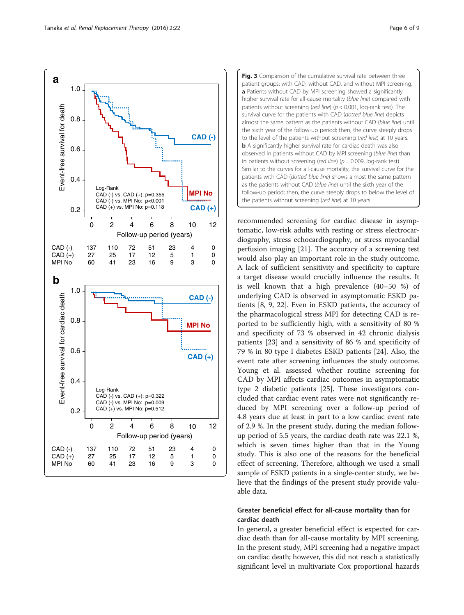<span id="page-5-0"></span>

Fig. 3 Comparison of the cumulative survival rate between three patient groups: with CAD, without CAD, and without MPI screening. a Patients without CAD by MPI screening showed a significantly higher survival rate for all-cause mortality (blue line) compared with patients without screening (red line) ( $p < 0.001$ , log-rank test). The survival curve for the patients with CAD (dotted blue line) depicts almost the same pattern as the patients without CAD (blue line) until the sixth year of the follow-up period; then, the curve steeply drops to the level of the patients without screening (red line) at 10 years. **b** A significantly higher survival rate for cardiac death was also observed in patients without CAD by MPI screening (blue line) than in patients without screening (red line) ( $p = 0.009$ , log-rank test). Similar to the curves for all-cause mortality, the survival curve for the patients with CAD (dotted blue line) shows almost the same pattern as the patients without CAD (blue line) until the sixth year of the follow-up period; then, the curve steeply drops to below the level of the patients without screening (red line) at 10 years

recommended screening for cardiac disease in asymptomatic, low-risk adults with resting or stress electrocardiography, stress echocardiography, or stress myocardial perfusion imaging [[21](#page-8-0)]. The accuracy of a screening test would also play an important role in the study outcome. A lack of sufficient sensitivity and specificity to capture a target disease would crucially influence the results. It is well known that a high prevalence (40–50 %) of underlying CAD is observed in asymptomatic ESKD patients [\[8, 9, 22](#page-8-0)]. Even in ESKD patients, the accuracy of the pharmacological stress MPI for detecting CAD is reported to be sufficiently high, with a sensitivity of 80 % and specificity of 73 % observed in 42 chronic dialysis patients [[23\]](#page-8-0) and a sensitivity of 86 % and specificity of 79 % in 80 type I diabetes ESKD patients [\[24](#page-8-0)]. Also, the event rate after screening influences the study outcome. Young et al. assessed whether routine screening for CAD by MPI affects cardiac outcomes in asymptomatic type 2 diabetic patients [\[25\]](#page-8-0). These investigators concluded that cardiac event rates were not significantly reduced by MPI screening over a follow-up period of 4.8 years due at least in part to a low cardiac event rate of 2.9 %. In the present study, during the median followup period of 5.5 years, the cardiac death rate was 22.1 %, which is seven times higher than that in the Young study. This is also one of the reasons for the beneficial effect of screening. Therefore, although we used a small sample of ESKD patients in a single-center study, we believe that the findings of the present study provide valuable data.

# Greater beneficial effect for all-cause mortality than for cardiac death

In general, a greater beneficial effect is expected for cardiac death than for all-cause mortality by MPI screening. In the present study, MPI screening had a negative impact on cardiac death; however, this did not reach a statistically significant level in multivariate Cox proportional hazards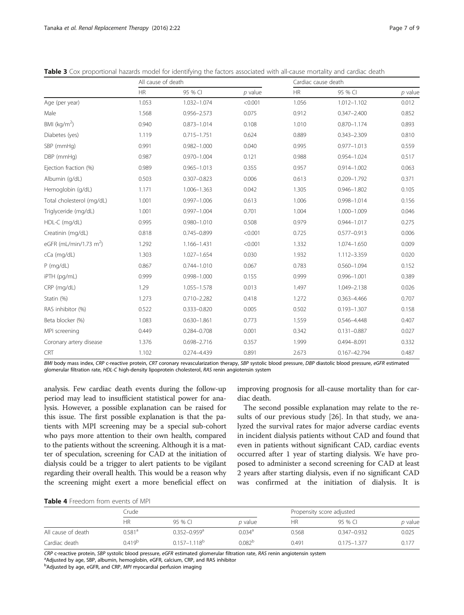|                                    |       | All cause of death |           |           | Cardiac cause death |           |  |
|------------------------------------|-------|--------------------|-----------|-----------|---------------------|-----------|--|
|                                    | HR    | 95 % CI            | $p$ value | <b>HR</b> | 95 % CI             | $p$ value |  |
| Age (per year)                     | 1.053 | 1.032-1.074        | < 0.001   | 1.056     | 1.012-1.102         | 0.012     |  |
| Male                               | 1.568 | $0.956 - 2.573$    | 0.075     | 0.912     | $0.347 - 2.400$     | 0.852     |  |
| BMI ( $kg/m2$ )                    | 0.940 | $0.873 - 1.014$    | 0.108     | 1.010     | $0.870 - 1.174$     | 0.893     |  |
| Diabetes (yes)                     | 1.119 | $0.715 - 1.751$    | 0.624     | 0.889     | $0.343 - 2.309$     | 0.810     |  |
| SBP (mmHg)                         | 0.991 | $0.982 - 1.000$    | 0.040     | 0.995     | $0.977 - 1.013$     | 0.559     |  |
| DBP (mmHg)                         | 0.987 | $0.970 - 1.004$    | 0.121     | 0.988     | 0.954-1.024         | 0.517     |  |
| Ejection fraction (%)              | 0.989 | $0.965 - 1.013$    | 0.355     | 0.957     | $0.914 - 1.002$     | 0.063     |  |
| Albumin (g/dL)                     | 0.503 | $0.307 - 0.823$    | 0.006     | 0.613     | $0.209 - 1.792$     | 0.371     |  |
| Hemoglobin (g/dL)                  | 1.171 | 1.006-1.363        | 0.042     | 1.305     | $0.946 - 1.802$     | 0.105     |  |
| Total cholesterol (mg/dL)          | 1.001 | $0.997 - 1.006$    | 0.613     | 1.006     | 0.998-1.014         | 0.156     |  |
| Triglyceride (mg/dL)               | 1.001 | $0.997 - 1.004$    | 0.701     | 1.004     | 1.000-1.009         | 0.046     |  |
| HDL-C (mg/dL)                      | 0.995 | $0.980 - 1.010$    | 0.508     | 0.979     | $0.944 - 1.017$     | 0.275     |  |
| Creatinin (mg/dL)                  | 0.818 | $0.745 - 0.899$    | < 0.001   | 0.725     | $0.577 - 0.913$     | 0.006     |  |
| eGFR (mL/min/1.73 m <sup>2</sup> ) | 1.292 | 1.166-1.431        | < 0.001   | 1.332     | 1.074-1.650         | 0.009     |  |
| cCa (mg/dL)                        | 1.303 | $1.027 - 1.654$    | 0.030     | 1.932     | 1.112-3.359         | 0.020     |  |
| $P$ (mg/dL)                        | 0.867 | $0.744 - 1.010$    | 0.067     | 0.783     | $0.560 - 1.094$     | 0.152     |  |
| $i$ PTH $(pq/mL)$                  | 0.999 | $0.998 - 1.000$    | 0.155     | 0.999     | $0.996 - 1.001$     | 0.389     |  |
| CRP (mg/dL)                        | 1.29  | 1.055-1.578        | 0.013     | 1.497     | 1.049-2.138         | 0.026     |  |
| Statin (%)                         | 1.273 | $0.710 - 2.282$    | 0.418     | 1.272     | $0.363 - 4.466$     | 0.707     |  |
| RAS inhibitor (%)                  | 0.522 | $0.333 - 0.820$    | 0.005     | 0.502     | $0.193 - 1.307$     | 0.158     |  |
| Beta blocker (%)                   | 1.083 | $0.630 - 1.861$    | 0.773     | 1.559     | 0.546-4.448         | 0.407     |  |
| MPI screening                      | 0.449 | $0.284 - 0.708$    | 0.001     | 0.342     | $0.131 - 0.887$     | 0.027     |  |
| Coronary artery disease            | 1.376 | $0.698 - 2.716$    | 0.357     | 1.999     | 0.494-8.091         | 0.332     |  |
| CRT                                | 1.102 | 0.274-4.439        | 0.891     | 2.673     | 0.167-42.794        | 0.487     |  |

<span id="page-6-0"></span>Table 3 Cox proportional hazards model for identifying the factors associated with all-cause mortality and cardiac death

BMI body mass index, CRP c-reactive protein, CRT coronary revascularization therapy, SBP systolic blood pressure, DBP diastolic blood pressure, eGFR estimated glomerular filtration rate, HDL-C high-density lipoprotein cholesterol, RAS renin angiotensin system

analysis. Few cardiac death events during the follow-up period may lead to insufficient statistical power for analysis. However, a possible explanation can be raised for this issue. The first possible explanation is that the patients with MPI screening may be a special sub-cohort who pays more attention to their own health, compared to the patients without the screening. Although it is a matter of speculation, screening for CAD at the initiation of dialysis could be a trigger to alert patients to be vigilant regarding their overall health. This would be a reason why the screening might exert a more beneficial effect on improving prognosis for all-cause mortality than for cardiac death.

The second possible explanation may relate to the results of our previous study [\[26](#page-8-0)]. In that study, we analyzed the survival rates for major adverse cardiac events in incident dialysis patients without CAD and found that even in patients without significant CAD, cardiac events occurred after 1 year of starting dialysis. We have proposed to administer a second screening for CAD at least 2 years after starting dialysis, even if no significant CAD was confirmed at the initiation of dialysis. It is

### Table 4 Freedom from events of MPI

|                    | Crude                |                              |                      |       | Propensity score adjusted |         |  |
|--------------------|----------------------|------------------------------|----------------------|-------|---------------------------|---------|--|
|                    | <b>HR</b>            | 95 % CI                      | p value              | ΗR    | 95 % CI                   | p value |  |
| All cause of death | $0.581$ <sup>a</sup> | $0.352 - 0.959$ <sup>a</sup> | $0.034$ <sup>a</sup> | 0.568 | $0.347 - 0.932$           | 0.025   |  |
| Cardiac death      | $0.419^{b}$          | $0.157 - 1.118^{\circ}$      | 0.082 <sup>b</sup>   | 0.491 | $0.175 - 1.377$           | 0.177   |  |

CRP c-reactive protein, SBP systolic blood pressure, eGFR estimated glomerular filtration rate, RAS renin angiotensin system <sup>a</sup>Adjusted by age, SBP, albumin, hemoglobin, eGFR, calcium, CRP, and RAS inhibitor

<sup>b</sup>Adjusted by age, eGFR, and CRP, MPI myocardial perfusion imaging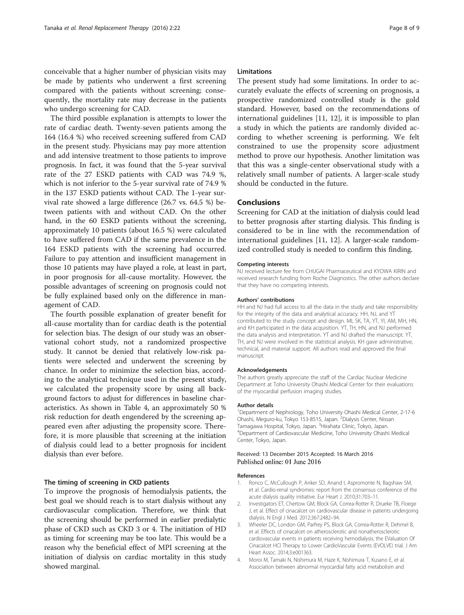<span id="page-7-0"></span>conceivable that a higher number of physician visits may be made by patients who underwent a first screening compared with the patients without screening; consequently, the mortality rate may decrease in the patients who undergo screening for CAD.

The third possible explanation is attempts to lower the rate of cardiac death. Twenty-seven patients among the 164 (16.4 %) who received screening suffered from CAD in the present study. Physicians may pay more attention and add intensive treatment to those patients to improve prognosis. In fact, it was found that the 5-year survival rate of the 27 ESKD patients with CAD was 74.9 %, which is not inferior to the 5-year survival rate of 74.9 % in the 137 ESKD patients without CAD. The 1-year survival rate showed a large difference (26.7 vs. 64.5 %) between patients with and without CAD. On the other hand, in the 60 ESKD patients without the screening, approximately 10 patients (about 16.5 %) were calculated to have suffered from CAD if the same prevalence in the 164 ESKD patients with the screening had occurred. Failure to pay attention and insufficient management in those 10 patients may have played a role, at least in part, in poor prognosis for all-cause mortality. However, the possible advantages of screening on prognosis could not be fully explained based only on the difference in management of CAD.

The fourth possible explanation of greater benefit for all-cause mortality than for cardiac death is the potential for selection bias. The design of our study was an observational cohort study, not a randomized prospective study. It cannot be denied that relatively low-risk patients were selected and underwent the screening by chance. In order to minimize the selection bias, according to the analytical technique used in the present study, we calculated the propensity score by using all background factors to adjust for differences in baseline characteristics. As shown in Table [4](#page-6-0), an approximately 50 % risk reduction for death engendered by the screening appeared even after adjusting the propensity score. Therefore, it is more plausible that screening at the initiation of dialysis could lead to a better prognosis for incident dialysis than ever before.

# The timing of screening in CKD patients

To improve the prognosis of hemodialysis patients, the best goal we should reach is to start dialysis without any cardiovascular complication. Therefore, we think that the screening should be performed in earlier predialytic phase of CKD such as CKD 3 or 4. The initiation of HD as timing for screening may be too late. This would be a reason why the beneficial effect of MPI screening at the initiation of dialysis on cardiac mortality in this study showed marginal.

# Limitations

The present study had some limitations. In order to accurately evaluate the effects of screening on prognosis, a prospective randomized controlled study is the gold standard. However, based on the recommendations of international guidelines [\[11](#page-8-0), [12\]](#page-8-0), it is impossible to plan a study in which the patients are randomly divided according to whether screening is performing. We felt constrained to use the propensity score adjustment method to prove our hypothesis. Another limitation was that this was a single-center observational study with a relatively small number of patients. A larger-scale study should be conducted in the future.

# **Conclusions**

Screening for CAD at the initiation of dialysis could lead to better prognosis after starting dialysis. This finding is considered to be in line with the recommendation of international guidelines [\[11](#page-8-0), [12\]](#page-8-0). A larger-scale randomized controlled study is needed to confirm this finding.

#### Competing interests

NJ received lecture fee from CHUGAI Pharmaceutical and KYOWA KIRIN and received research funding from Roche Diagnostics. The other authors declare that they have no competing interests.

#### Authors' contributions

HH and NJ had full access to all the data in the study and take responsibility for the integrity of the data and analytical accuracy. HH, NJ, and YT contributed to the study concept and design. MI, SK, TA, YT, YI, AM, MH, HN, and KH participated in the data acquisition. YT, TH, HN, and NJ performed the data analysis and interpretation. YT and NJ drafted the manuscript. YT, TH, and NJ were involved in the statistical analysis. KH gave administrative, technical, and material support. All authors read and approved the final manuscript.

#### Acknowledgements

The authors greatly appreciate the staff of the Cardiac Nuclear Medicine Department at Toho University Ohashi Medical Center for their evaluations of the myocardial perfusion imaging studies.

#### Author details

<sup>1</sup>Department of Nephrology, Toho University Ohashi Medical Center, 2-17-6 Ohashi, Meguro-ku, Tokyo 153-8515, Japan. <sup>2</sup>Dialysis Center, Nissan Tamagawa Hospital, Tokyo, Japan. <sup>3</sup>Hirahata Clinic, Tokyo, Japan<br><sup>4</sup>Department of Cardiouascular Modicine, Tobo University Obash Department of Cardiovascular Medicine, Toho University Ohashi Medical Center, Tokyo, Japan.

#### Received: 13 December 2015 Accepted: 16 March 2016 Published online: 01 June 2016

#### References

- Ronco C, McCullough P, Anker SD, Anand I, Aspromonte N, Bagshaw SM, et al. Cardio-renal syndromes: report from the consensus conference of the acute dialysis quality initiative. Eur Heart J. 2010;31:703–11.
- 2. Investigators ET, Chertow GM, Block GA, Correa-Rotter R, Drueke TB, Floege J, et al. Effect of cinacalcet on cardiovascular disease in patients undergoing dialysis. N Engl J Med. 2012;367:2482–94.
- 3. Wheeler DC, London GM, Parfrey PS, Block GA, Correa-Rotter R, Dehmel B, et al. Effects of cinacalcet on atherosclerotic and nonatherosclerotic cardiovascular events in patients receiving hemodialysis: the EValuation Of Cinacalcet HCl Therapy to Lower CardioVascular Events (EVOLVE) trial. J Am Heart Assoc. 2014;3:e001363.
- 4. Moroi M, Tamaki N, Nishimura M, Haze K, Nishimura T, Kusano E, et al. Association between abnormal myocardial fatty acid metabolism and